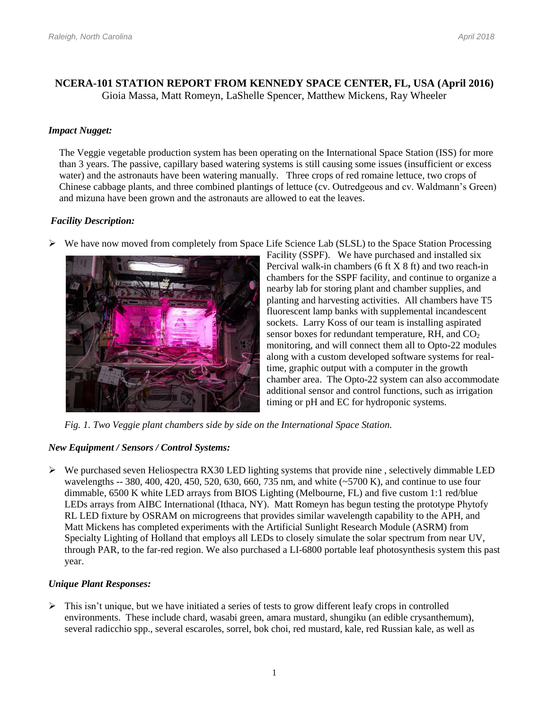## **NCERA-101 STATION REPORT FROM KENNEDY SPACE CENTER, FL, USA (April 2016)** Gioia Massa, Matt Romeyn, LaShelle Spencer, Matthew Mickens, Ray Wheeler

## *Impact Nugget:*

The Veggie vegetable production system has been operating on the International Space Station (ISS) for more than 3 years. The passive, capillary based watering systems is still causing some issues (insufficient or excess water) and the astronauts have been watering manually. Three crops of red romaine lettuce, two crops of Chinese cabbage plants, and three combined plantings of lettuce (cv. Outredgeous and cv. Waldmann's Green) and mizuna have been grown and the astronauts are allowed to eat the leaves.

### *Facility Description:*





Facility (SSPF). We have purchased and installed six Percival walk-in chambers (6 ft X 8 ft) and two reach-in chambers for the SSPF facility, and continue to organize a nearby lab for storing plant and chamber supplies, and planting and harvesting activities. All chambers have T5 fluorescent lamp banks with supplemental incandescent sockets. Larry Koss of our team is installing aspirated sensor boxes for redundant temperature, RH, and  $CO<sub>2</sub>$ monitoring, and will connect them all to Opto-22 modules along with a custom developed software systems for realtime, graphic output with a computer in the growth chamber area. The Opto-22 system can also accommodate additional sensor and control functions, such as irrigation timing or pH and EC for hydroponic systems.

*Fig. 1. Two Veggie plant chambers side by side on the International Space Station.* 

### *New Equipment / Sensors / Control Systems:*

 $\triangleright$  We purchased seven Heliospectra RX30 LED lighting systems that provide nine, selectively dimmable LED wavelengths -- 380, 400, 420, 450, 520, 630, 660, 735 nm, and white (~5700 K), and continue to use four dimmable, 6500 K white LED arrays from BIOS Lighting (Melbourne, FL) and five custom 1:1 red/blue LEDs arrays from AIBC International (Ithaca, NY). Matt Romeyn has begun testing the prototype Phytofy RL LED fixture by OSRAM on microgreens that provides similar wavelength capability to the APH, and Matt Mickens has completed experiments with the Artificial Sunlight Research Module (ASRM) from Specialty Lighting of Holland that employs all LEDs to closely simulate the solar spectrum from near UV, through PAR, to the far-red region. We also purchased a LI-6800 portable leaf photosynthesis system this past year.

### *Unique Plant Responses:*

 $\triangleright$  This isn't unique, but we have initiated a series of tests to grow different leafy crops in controlled environments. These include chard, wasabi green, amara mustard, shungiku (an edible crysanthemum), several radicchio spp., several escaroles, sorrel, bok choi, red mustard, kale, red Russian kale, as well as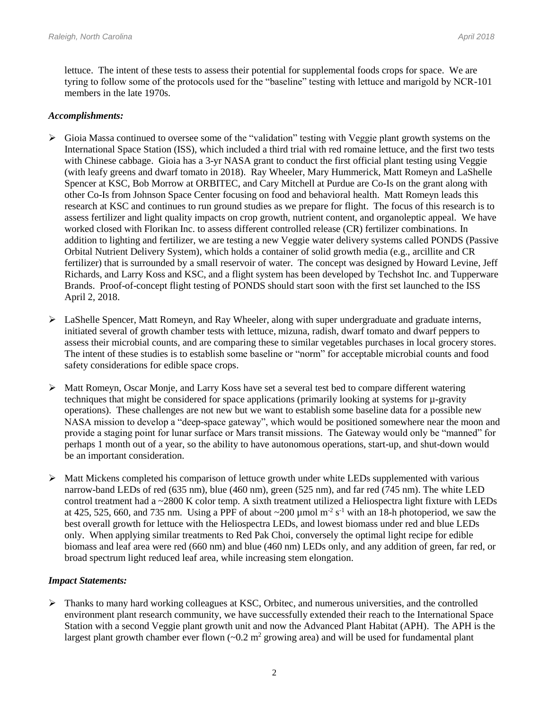lettuce. The intent of these tests to assess their potential for supplemental foods crops for space. We are tyring to follow some of the protocols used for the "baseline" testing with lettuce and marigold by NCR-101 members in the late 1970s.

#### *Accomplishments:*

- $\triangleright$  Gioia Massa continued to oversee some of the "validation" testing with Veggie plant growth systems on the International Space Station (ISS), which included a third trial with red romaine lettuce, and the first two tests with Chinese cabbage. Gioia has a 3-yr NASA grant to conduct the first official plant testing using Veggie (with leafy greens and dwarf tomato in 2018). Ray Wheeler, Mary Hummerick, Matt Romeyn and LaShelle Spencer at KSC, Bob Morrow at ORBITEC, and Cary Mitchell at Purdue are Co-Is on the grant along with other Co-Is from Johnson Space Center focusing on food and behavioral health. Matt Romeyn leads this research at KSC and continues to run ground studies as we prepare for flight. The focus of this research is to assess fertilizer and light quality impacts on crop growth, nutrient content, and organoleptic appeal. We have worked closed with Florikan Inc. to assess different controlled release (CR) fertilizer combinations. In addition to lighting and fertilizer, we are testing a new Veggie water delivery systems called PONDS (Passive Orbital Nutrient Delivery System), which holds a container of solid growth media (e.g., arcillite and CR fertilizer) that is surrounded by a small reservoir of water. The concept was designed by Howard Levine, Jeff Richards, and Larry Koss and KSC, and a flight system has been developed by Techshot Inc. and Tupperware Brands. Proof-of-concept flight testing of PONDS should start soon with the first set launched to the ISS April 2, 2018.
- $\triangleright$  LaShelle Spencer, Matt Romeyn, and Ray Wheeler, along with super undergraduate and graduate interns, initiated several of growth chamber tests with lettuce, mizuna, radish, dwarf tomato and dwarf peppers to assess their microbial counts, and are comparing these to similar vegetables purchases in local grocery stores. The intent of these studies is to establish some baseline or "norm" for acceptable microbial counts and food safety considerations for edible space crops.
- Matt Romeyn, Oscar Monje, and Larry Koss have set a several test bed to compare different watering techniques that might be considered for space applications (primarily looking at systems for µ-gravity operations). These challenges are not new but we want to establish some baseline data for a possible new NASA mission to develop a "deep-space gateway", which would be positioned somewhere near the moon and provide a staging point for lunar surface or Mars transit missions. The Gateway would only be "manned" for perhaps 1 month out of a year, so the ability to have autonomous operations, start-up, and shut-down would be an important consideration.
- $\triangleright$  Matt Mickens completed his comparison of lettuce growth under white LEDs supplemented with various narrow-band LEDs of red (635 nm), blue (460 nm), green (525 nm), and far red (745 nm). The white LED control treatment had a ~2800 K color temp. A sixth treatment utilized a Heliospectra light fixture with LEDs at 425, 525, 660, and 735 nm. Using a PPF of about  $\sim 200$  µmol m<sup>-2</sup> s<sup>-1</sup> with an 18-h photoperiod, we saw the best overall growth for lettuce with the Heliospectra LEDs, and lowest biomass under red and blue LEDs only. When applying similar treatments to Red Pak Choi, conversely the optimal light recipe for edible biomass and leaf area were red (660 nm) and blue (460 nm) LEDs only, and any addition of green, far red, or broad spectrum light reduced leaf area, while increasing stem elongation.

### *Impact Statements:*

 $\triangleright$  Thanks to many hard working colleagues at KSC, Orbitec, and numerous universities, and the controlled environment plant research community, we have successfully extended their reach to the International Space Station with a second Veggie plant growth unit and now the Advanced Plant Habitat (APH). The APH is the largest plant growth chamber ever flown  $(-0.2 \text{ m}^2 \text{ growing area})$  and will be used for fundamental plant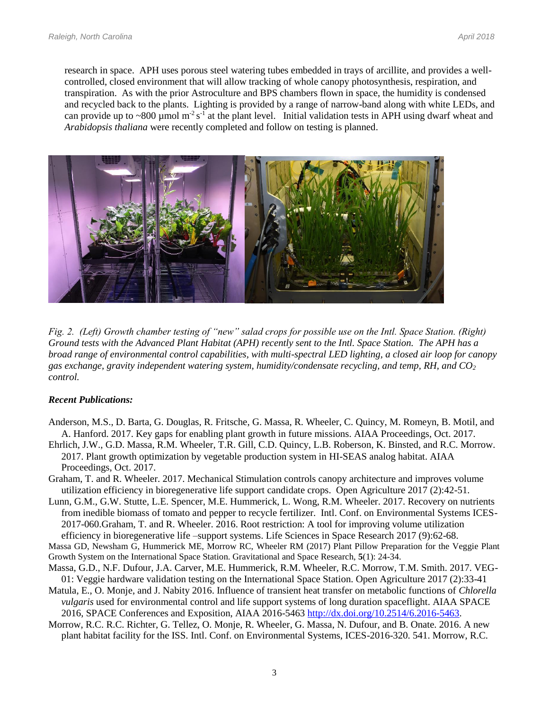research in space. APH uses porous steel watering tubes embedded in trays of arcillite, and provides a wellcontrolled, closed environment that will allow tracking of whole canopy photosynthesis, respiration, and transpiration. As with the prior Astroculture and BPS chambers flown in space, the humidity is condensed and recycled back to the plants. Lighting is provided by a range of narrow-band along with white LEDs, and can provide up to  $\sim 800$  µmol m<sup>-2</sup> s<sup>-1</sup> at the plant level. Initial validation tests in APH using dwarf wheat and *Arabidopsis thaliana* were recently completed and follow on testing is planned.



*Fig. 2. (Left) Growth chamber testing of "new" salad crops for possible use on the Intl. Space Station. (Right) Ground tests with the Advanced Plant Habitat (APH) recently sent to the Intl. Space Station. The APH has a broad range of environmental control capabilities, with multi-spectral LED lighting, a closed air loop for canopy gas exchange, gravity independent watering system, humidity/condensate recycling, and temp, RH, and CO<sup>2</sup> control.*

#### *Recent Publications:*

- Anderson, M.S., D. Barta, G. Douglas, R. Fritsche, G. Massa, R. Wheeler, C. Quincy, M. Romeyn, B. Motil, and A. Hanford. 2017. Key gaps for enabling plant growth in future missions. AIAA Proceedings, Oct. 2017.
- Ehrlich, J.W., G.D. Massa, R.M. Wheeler, T.R. Gill, C.D. Quincy, L.B. Roberson, K. Binsted, and R.C. Morrow. 2017. Plant growth optimization by vegetable production system in HI-SEAS analog habitat. AIAA Proceedings, Oct. 2017.
- Graham, T. and R. Wheeler. 2017. Mechanical Stimulation controls canopy architecture and improves volume utilization efficiency in bioregenerative life support candidate crops. Open Agriculture 2017 (2):42-51.
- Lunn, G.M., G.W. Stutte, L.E. Spencer, M.E. Hummerick, L. Wong, R.M. Wheeler. 2017. Recovery on nutrients from inedible biomass of tomato and pepper to recycle fertilizer. Intl. Conf. on Environmental Systems ICES-2017-060.Graham, T. and R. Wheeler. 2016. Root restriction: A tool for improving volume utilization efficiency in bioregenerative life –support systems. Life Sciences in Space Research 2017 (9):62-68.

Massa GD, Newsham G, Hummerick ME, Morrow RC, Wheeler RM (2017) Plant Pillow Preparation for the Veggie Plant Growth System on the International Space Station. Gravitational and Space Research, **5**(1): 24-34.

- Massa, G.D., N.F. Dufour, J.A. Carver, M.E. Hummerick, R.M. Wheeler, R.C. Morrow, T.M. Smith. 2017. VEG-01: Veggie hardware validation testing on the International Space Station. Open Agriculture 2017 (2):33-41
- Matula, E., O. Monje, and J. Nabity 2016. Influence of transient heat transfer on metabolic functions of *Chlorella vulgaris* used for environmental control and life support systems of long duration spaceflight. AIAA SPACE 2016, SPACE Conferences and Exposition, AIAA 2016-5463 [http://dx.doi.org/10.2514/6.2016-5463.](http://dx.doi.org/10.2514/6.2016-5463)
- Morrow, R.C. R.C. Richter, G. Tellez, O. Monje, R. Wheeler, G. Massa, N. Dufour, and B. Onate. 2016. A new plant habitat facility for the ISS. Intl. Conf. on Environmental Systems, ICES-2016-320. 541. Morrow, R.C.